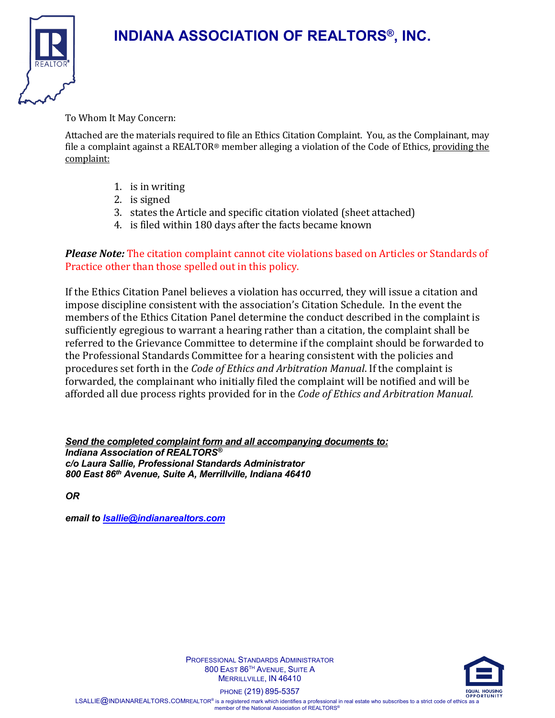

#### To Whom It May Concern:

Attached are the materials required to file an Ethics Citation Complaint. You, as the Complainant, may file a complaint against a REALTOR® member alleging a violation of the Code of Ethics, providing the complaint:

- 1. is in writing
- 2. is signed
- 3. states the Article and specific citation violated (sheet attached)
- 4. is filed within 180 days after the facts became known

### *Please Note:* The citation complaint cannot cite violations based on Articles or Standards of Practice other than those spelled out in this policy.

If the Ethics Citation Panel believes a violation has occurred, they will issue a citation and impose discipline consistent with the association's Citation Schedule. In the event the members of the Ethics Citation Panel determine the conduct described in the complaint is sufficiently egregious to warrant a hearing rather than a citation, the complaint shall be referred to the Grievance Committee to determine if the complaint should be forwarded to the Professional Standards Committee for a hearing consistent with the policies and procedures set forth in the *Code of Ethics and Arbitration Manual*. If the complaint is forwarded, the complainant who initially filed the complaint will be notified and will be afforded all due process rights provided for in the *Code of Ethics and Arbitration Manual.*

*Send the completed complaint form and all accompanying documents to: Indiana Association of REALTORS® c/o Laura Sallie, Professional Standards Administrator 800 East 86th Avenue, Suite A, Merrillville, Indiana 46410*

*OR* 

*email to [lsallie@indianarealtors.com](mailto:lsallie@indianarealtors.com)*



PROFESSIONAL STANDARDS ADMINISTRATOR 800 EAST 86TH AVENUE, SUITE A MERRILLVILLE, IN 46410

PHONE (219) 895-5357

LSALLIE @INDIANAREALTORS.COMREALTOR® is a registered mark which identifies a professional in real estate who subscribes to a strict code of ethics as a member of the National Association of REALTORS®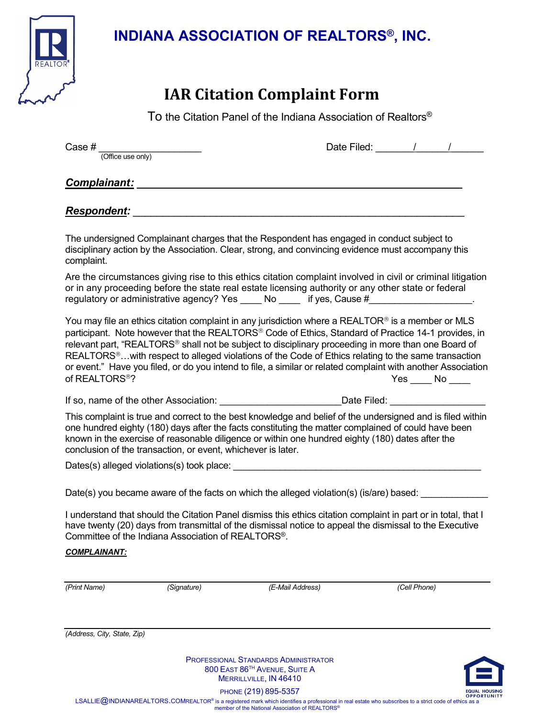

# **IAR Citation Complaint Form**

To the Citation Panel of the Indiana Association of Realtors®

| Case $#$ $(Office use only)$ |                                                              |                                                                                                                                                                                                                                                                                                                                                                                                                                                                                                                                                                |                 | Date Filed: 1 / / |
|------------------------------|--------------------------------------------------------------|----------------------------------------------------------------------------------------------------------------------------------------------------------------------------------------------------------------------------------------------------------------------------------------------------------------------------------------------------------------------------------------------------------------------------------------------------------------------------------------------------------------------------------------------------------------|-----------------|-------------------|
|                              | <b>Complainant:</b>                                          |                                                                                                                                                                                                                                                                                                                                                                                                                                                                                                                                                                |                 |                   |
| <b>Respondent:</b>           |                                                              |                                                                                                                                                                                                                                                                                                                                                                                                                                                                                                                                                                |                 |                   |
| complaint.                   |                                                              | The undersigned Complainant charges that the Respondent has engaged in conduct subject to<br>disciplinary action by the Association. Clear, strong, and convincing evidence must accompany this                                                                                                                                                                                                                                                                                                                                                                |                 |                   |
|                              |                                                              | Are the circumstances giving rise to this ethics citation complaint involved in civil or criminal litigation<br>or in any proceeding before the state real estate licensing authority or any other state or federal<br>regulatory or administrative agency? Yes _____ No _____ if yes, Cause #_____________________.                                                                                                                                                                                                                                           |                 |                   |
| of REALTORS <sup>®</sup> ?   |                                                              | You may file an ethics citation complaint in any jurisdiction where a REALTOR <sup>®</sup> is a member or MLS<br>participant. Note however that the REALTORS® Code of Ethics, Standard of Practice 14-1 provides, in<br>relevant part, "REALTORS® shall not be subject to disciplinary proceeding in more than one Board of<br>REALTORS <sup>®</sup> with respect to alleged violations of the Code of Ethics relating to the same transaction<br>or event." Have you filed, or do you intend to file, a similar or related complaint with another Association | $Yes$ No ______ |                   |
|                              |                                                              | If so, name of the other Association: __________________________Date Filed: _______________________                                                                                                                                                                                                                                                                                                                                                                                                                                                            |                 |                   |
|                              | conclusion of the transaction, or event, whichever is later. | This complaint is true and correct to the best knowledge and belief of the undersigned and is filed within<br>one hundred eighty (180) days after the facts constituting the matter complained of could have been<br>known in the exercise of reasonable diligence or within one hundred eighty (180) dates after the                                                                                                                                                                                                                                          |                 |                   |
|                              |                                                              |                                                                                                                                                                                                                                                                                                                                                                                                                                                                                                                                                                |                 |                   |
|                              |                                                              | Date(s) you became aware of the facts on which the alleged violation(s) (is/are) based: ____________                                                                                                                                                                                                                                                                                                                                                                                                                                                           |                 |                   |
| <b>COMPLAINANT:</b>          | Committee of the Indiana Association of REALTORS®.           | I understand that should the Citation Panel dismiss this ethics citation complaint in part or in total, that I<br>have twenty (20) days from transmittal of the dismissal notice to appeal the dismissal to the Executive                                                                                                                                                                                                                                                                                                                                      |                 |                   |
| (Print Name)                 | (Signature)                                                  | (E-Mail Address)                                                                                                                                                                                                                                                                                                                                                                                                                                                                                                                                               | (Cell Phone)    |                   |
|                              |                                                              |                                                                                                                                                                                                                                                                                                                                                                                                                                                                                                                                                                |                 |                   |
| (Address, City, State, Zip)  |                                                              |                                                                                                                                                                                                                                                                                                                                                                                                                                                                                                                                                                |                 |                   |
|                              |                                                              |                                                                                                                                                                                                                                                                                                                                                                                                                                                                                                                                                                |                 |                   |

PROFESSIONAL STANDARDS ADMINISTRATOR 800 EAST 86TH AVENUE, SUITE A MERRILLVILLE, IN 46410



PHONE (219) 895-5357

EQUAL HOUSING PHONE (219) 895-5357<br>OPPORTIOR® is a registered mark which identifies a professional in real estate who subscribes to a strict code of ethics as a<br>LSALLIE@INDIANAREALTORS.COMREALTOR® is a registered mark whic member of the National Association of REALTORS®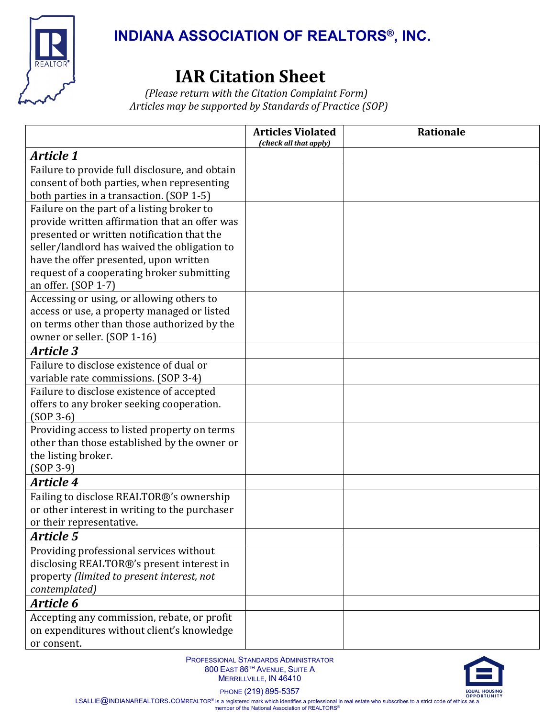

# **IAR Citation Sheet** *(Please return with the Citation Complaint Form)*

*Articles may be supported by Standards of Practice (SOP)*

|                                                                            | <b>Articles Violated</b><br>(check all that apply) | Rationale |
|----------------------------------------------------------------------------|----------------------------------------------------|-----------|
| <b>Article 1</b>                                                           |                                                    |           |
| Failure to provide full disclosure, and obtain                             |                                                    |           |
| consent of both parties, when representing                                 |                                                    |           |
| both parties in a transaction. (SOP 1-5)                                   |                                                    |           |
| Failure on the part of a listing broker to                                 |                                                    |           |
| provide written affirmation that an offer was                              |                                                    |           |
| presented or written notification that the                                 |                                                    |           |
| seller/landlord has waived the obligation to                               |                                                    |           |
| have the offer presented, upon written                                     |                                                    |           |
| request of a cooperating broker submitting                                 |                                                    |           |
| an offer. (SOP 1-7)                                                        |                                                    |           |
| Accessing or using, or allowing others to                                  |                                                    |           |
| access or use, a property managed or listed                                |                                                    |           |
| on terms other than those authorized by the<br>owner or seller. (SOP 1-16) |                                                    |           |
| <b>Article 3</b>                                                           |                                                    |           |
| Failure to disclose existence of dual or                                   |                                                    |           |
| variable rate commissions. (SOP 3-4)                                       |                                                    |           |
| Failure to disclose existence of accepted                                  |                                                    |           |
| offers to any broker seeking cooperation.                                  |                                                    |           |
| $(SOP 3-6)$                                                                |                                                    |           |
| Providing access to listed property on terms                               |                                                    |           |
| other than those established by the owner or                               |                                                    |           |
| the listing broker.                                                        |                                                    |           |
| $(SOP 3-9)$                                                                |                                                    |           |
| <b>Article 4</b>                                                           |                                                    |           |
| Failing to disclose REALTOR®'s ownership                                   |                                                    |           |
| or other interest in writing to the purchaser                              |                                                    |           |
| or their representative.                                                   |                                                    |           |
| <b>Article 5</b>                                                           |                                                    |           |
| Providing professional services without                                    |                                                    |           |
| disclosing REALTOR®'s present interest in                                  |                                                    |           |
| property (limited to present interest, not                                 |                                                    |           |
| contemplated)                                                              |                                                    |           |
| Article 6                                                                  |                                                    |           |
| Accepting any commission, rebate, or profit                                |                                                    |           |
| on expenditures without client's knowledge                                 |                                                    |           |
| or consent.                                                                |                                                    |           |



PHONE (219) 895-5357